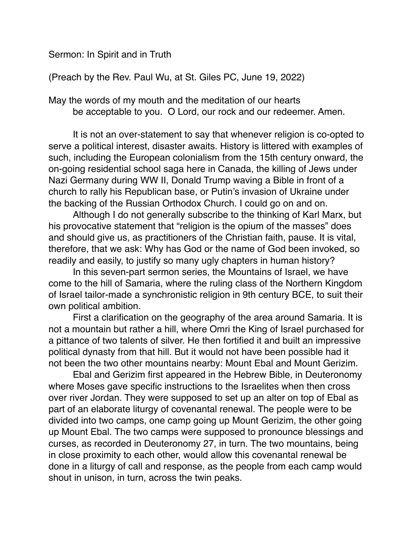Sermon: In Spirit and in Truth

(Preach by the Rev. Paul Wu, at St. Giles PC, June 19, 2022)

May the words of my mouth and the meditation of our hearts be acceptable to you. O Lord, our rock and our redeemer. Amen.

It is not an over-statement to say that whenever religion is co-opted to serve a political interest, disaster awaits. History is littered with examples of such, including the European colonialism from the 15th century onward, the on-going residential school saga here in Canada, the killing of Jews under Nazi Germany during WW II, Donald Trump waving a Bible in front of a church to rally his Republican base, or Putin's invasion of Ukraine under the backing of the Russian Orthodox Church. I could go on and on.

Although I do not generally subscribe to the thinking of Karl Marx, but his provocative statement that "religion is the opium of the masses" does and should give us, as practitioners of the Christian faith, pause. It is vital, therefore, that we ask: Why has God or the name of God been invoked, so readily and easily, to justify so many ugly chapters in human history?

In this seven-part sermon series, the Mountains of Israel, we have come to the hill of Samaria, where the ruling class of the Northern Kingdom of Israel tailor-made a synchronistic religion in 9th century BCE, to suit their own political ambition.

First a clarification on the geography of the area around Samaria. It is not a mountain but rather a hill, where Omri the King of Israel purchased for a pittance of two talents of silver. He then fortified it and built an impressive political dynasty from that hill. But it would not have been possible had it not been the two other mountains nearby: Mount Ebal and Mount Gerizim.

Ebal and Gerizim first appeared in the Hebrew Bible, in Deuteronomy where Moses gave specific instructions to the Israelites when then cross over river Jordan. They were supposed to set up an alter on top of Ebal as part of an elaborate liturgy of covenantal renewal. The people were to be divided into two camps, one camp going up Mount Gerizim, the other going up Mount Ebal. The two camps were supposed to pronounce blessings and curses, as recorded in Deuteronomy 27, in turn. The two mountains, being in close proximity to each other, would allow this covenantal renewal be done in a liturgy of call and response, as the people from each camp would shout in unison, in turn, across the twin peaks.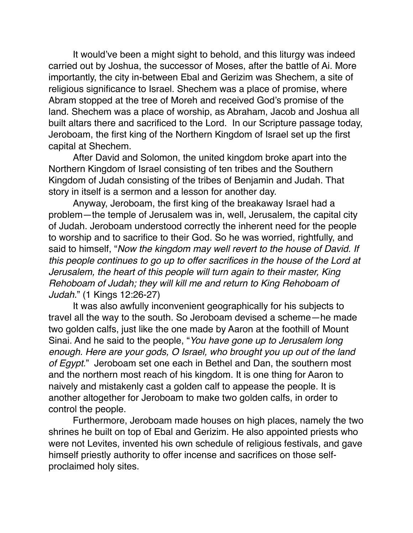It would've been a might sight to behold, and this liturgy was indeed carried out by Joshua, the successor of Moses, after the battle of Ai. More importantly, the city in-between Ebal and Gerizim was Shechem, a site of religious significance to Israel. Shechem was a place of promise, where Abram stopped at the tree of Moreh and received God's promise of the land. Shechem was a place of worship, as Abraham, Jacob and Joshua all built altars there and sacrificed to the Lord. In our Scripture passage today, Jeroboam, the first king of the Northern Kingdom of Israel set up the first capital at Shechem.

After David and Solomon, the united kingdom broke apart into the Northern Kingdom of Israel consisting of ten tribes and the Southern Kingdom of Judah consisting of the tribes of Benjamin and Judah. That story in itself is a sermon and a lesson for another day.

Anyway, Jeroboam, the first king of the breakaway Israel had a problem—the temple of Jerusalem was in, well, Jerusalem, the capital city of Judah. Jeroboam understood correctly the inherent need for the people to worship and to sacrifice to their God. So he was worried, rightfully, and said to himself, "*Now the kingdom may well revert to the house of David. If this people continues to go up to offer sacrifices in the house of the Lord at Jerusalem, the heart of this people will turn again to their master, King Rehoboam of Judah; they will kill me and return to King Rehoboam of Judah.*" (1 Kings 12:26-27)

It was also awfully inconvenient geographically for his subjects to travel all the way to the south. So Jeroboam devised a scheme—he made two golden calfs, just like the one made by Aaron at the foothill of Mount Sinai. And he said to the people, "*You have gone up to Jerusalem long enough. Here are your gods, O Israel, who brought you up out of the land of Egypt.*" Jeroboam set one each in Bethel and Dan, the southern most and the northern most reach of his kingdom. It is one thing for Aaron to naively and mistakenly cast a golden calf to appease the people. It is another altogether for Jeroboam to make two golden calfs, in order to control the people.

Furthermore, Jeroboam made houses on high places, namely the two shrines he built on top of Ebal and Gerizim. He also appointed priests who were not Levites, invented his own schedule of religious festivals, and gave himself priestly authority to offer incense and sacrifices on those selfproclaimed holy sites.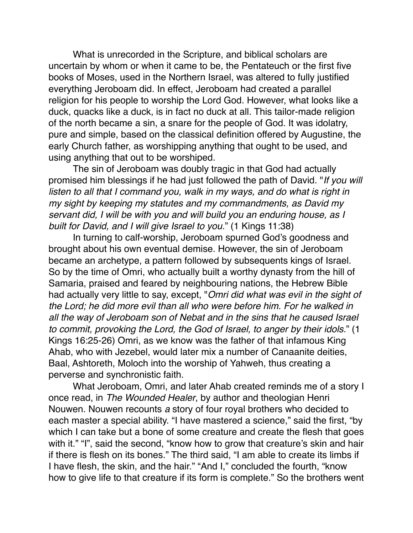What is unrecorded in the Scripture, and biblical scholars are uncertain by whom or when it came to be, the Pentateuch or the first five books of Moses, used in the Northern Israel, was altered to fully justified everything Jeroboam did. In effect, Jeroboam had created a parallel religion for his people to worship the Lord God. However, what looks like a duck, quacks like a duck, is in fact no duck at all. This tailor-made religion of the north became a sin, a snare for the people of God. It was idolatry, pure and simple, based on the classical definition offered by Augustine, the early Church father, as worshipping anything that ought to be used, and using anything that out to be worshiped.

The sin of Jeroboam was doubly tragic in that God had actually promised him blessings if he had just followed the path of David. "*If you will listen to all that I command you, walk in my ways, and do what is right in my sight by keeping my statutes and my commandments, as David my servant did, I will be with you and will build you an enduring house, as I built for David, and I will give Israel to you.*" (1 Kings 11:38)

In turning to calf-worship, Jeroboam spurned God's goodness and brought about his own eventual demise. However, the sin of Jeroboam became an archetype, a pattern followed by subsequents kings of Israel. So by the time of Omri, who actually built a worthy dynasty from the hill of Samaria, praised and feared by neighbouring nations, the Hebrew Bible had actually very little to say, except, "*Omri did what was evil in the sight of the Lord; he did more evil than all who were before him. For he walked in all the way of Jeroboam son of Nebat and in the sins that he caused Israel to commit, provoking the Lord, the God of Israel, to anger by their idols.*" (1 Kings 16:25-26) Omri, as we know was the father of that infamous King Ahab, who with Jezebel, would later mix a number of Canaanite deities, Baal, Ashtoreth, Moloch into the worship of Yahweh, thus creating a perverse and synchronistic faith.

What Jeroboam, Omri, and later Ahab created reminds me of a story I once read, in *The Wounded Healer*, by author and theologian Henri Nouwen. Nouwen recounts *a* story of four royal brothers who decided to each master a special ability. "I have mastered a science," said the first, "by which I can take but a bone of some creature and create the flesh that goes with it." "I", said the second, "know how to grow that creature's skin and hair if there is flesh on its bones." The third said, "I am able to create its limbs if I have flesh, the skin, and the hair." "And I," concluded the fourth, "know how to give life to that creature if its form is complete." So the brothers went